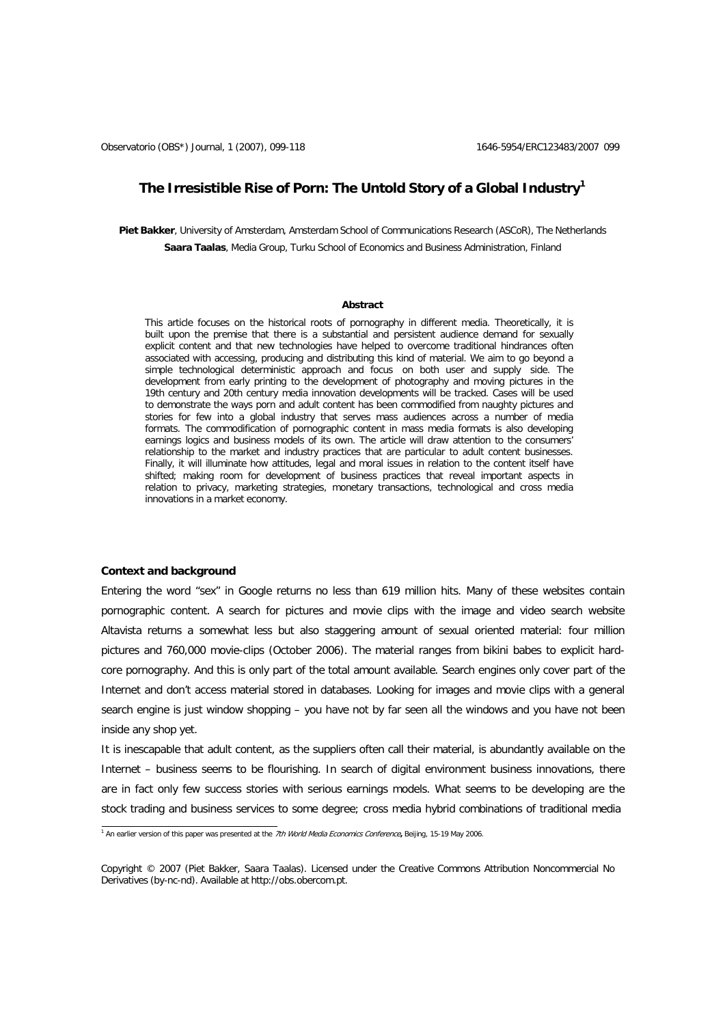# **The Irresistible Rise of Porn: The Untold Story of a Global Industr[y1](#page-0-0)**

**Piet Bakker**, University of Amsterdam, Amsterdam School of Communications Research (ASCoR), The Netherlands **Saara Taalas**, Media Group, Turku School of Economics and Business Administration, Finland

#### **Abstract**

This article focuses on the historical roots of pornography in different media. Theoretically, it is built upon the premise that there is a substantial and persistent audience demand for sexually explicit content and that new technologies have helped to overcome traditional hindrances often associated with accessing, producing and distributing this kind of material. We aim to go beyond a simple technological deterministic approach and focus on both user and supply side. The development from early printing to the development of photography and moving pictures in the 19th century and 20th century media innovation developments will be tracked. Cases will be used to demonstrate the ways porn and adult content has been commodified from naughty pictures and stories for few into a global industry that serves mass audiences across a number of media formats. The commodification of pornographic content in mass media formats is also developing earnings logics and business models of its own. The article will draw attention to the consumers' relationship to the market and industry practices that are particular to adult content businesses. Finally, it will illuminate how attitudes, legal and moral issues in relation to the content itself have shifted; making room for development of business practices that reveal important aspects in relation to privacy, marketing strategies, monetary transactions, technological and cross media innovations in a market economy.

### **Context and background**

Entering the word "sex" in Google returns no less than 619 million hits. Many of these websites contain pornographic content. A search for pictures and movie clips with the image and video search website Altavista returns a somewhat less but also staggering amount of sexual oriented material: four million pictures and 760,000 movie-clips (October 2006). The material ranges from bikini babes to explicit hardcore pornography. And this is only part of the total amount available. Search engines only cover part of the Internet and don't access material stored in databases. Looking for images and movie clips with a general search engine is just window shopping – you have not by far seen all the windows and you have not been inside any shop yet.

It is inescapable that adult content, as the suppliers often call their material, is abundantly available on the Internet – business seems to be flourishing. In search of digital environment business innovations, there are in fact only few success stories with serious earnings models. What seems to be developing are the stock trading and business services to some degree; cross media hybrid combinations of traditional media

<span id="page-0-0"></span><sup>&</sup>lt;sup>1</sup> An earlier version of this paper was presented at the 7th World Media Economics Conference, Beijing, 15-19 May 2006.

Copyright © 2007 (Piet Bakker, Saara Taalas). Licensed under the Creative Commons Attribution Noncommercial No Derivatives (by-nc-nd). Available at [http://obs.obercom.pt.](http://obs.obercom.pt/)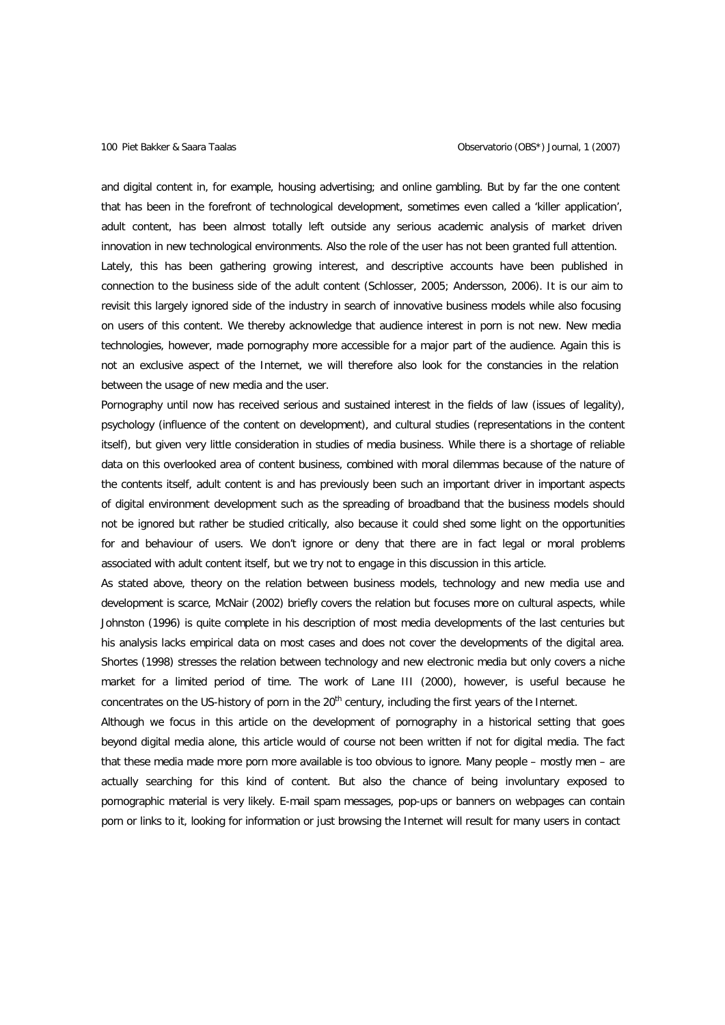and digital content in, for example, housing advertising; and online gambling. But by far the one content that has been in the forefront of technological development, sometimes even called a 'killer application', adult content, has been almost totally left outside any serious academic analysis of market driven innovation in new technological environments. Also the role of the user has not been granted full attention. Lately, this has been gathering growing interest, and descriptive accounts have been published in connection to the business side of the adult content (Schlosser, 2005; Andersson, 2006). It is our aim to revisit this largely ignored side of the industry in search of innovative business models while also focusing on users of this content. We thereby acknowledge that audience interest in porn is not new. New media technologies, however, made pornography more accessible for a major part of the audience. Again this is not an exclusive aspect of the Internet, we will therefore also look for the constancies in the relation between the usage of new media and the user.

Pornography until now has received serious and sustained interest in the fields of law (issues of legality), psychology (influence of the content on development), and cultural studies (representations in the content itself), but given very little consideration in studies of media business. While there is a shortage of reliable data on this overlooked area of content business, combined with moral dilemmas because of the nature of the contents itself, adult content is and has previously been such an important driver in important aspects of digital environment development such as the spreading of broadband that the business models should not be ignored but rather be studied critically, also because it could shed some light on the opportunities for and behaviour of users. We don't ignore or deny that there are in fact legal or moral problems associated with adult content itself, but we try not to engage in this discussion in this article.

As stated above, theory on the relation between business models, technology and new media use and development is scarce, McNair (2002) briefly covers the relation but focuses more on cultural aspects, while Johnston (1996) is quite complete in his description of most media developments of the last centuries but his analysis lacks empirical data on most cases and does not cover the developments of the digital area. Shortes (1998) stresses the relation between technology and new electronic media but only covers a niche market for a limited period of time. The work of Lane III (2000), however, is useful because he concentrates on the US-history of porn in the 20<sup>th</sup> century, including the first years of the Internet.

Although we focus in this article on the development of pornography in a historical setting that goes beyond digital media alone, this article would of course not been written if not for digital media. The fact that these media made more porn more available is too obvious to ignore. Many people – mostly men – are actually searching for this kind of content. But also the chance of being involuntary exposed to pornographic material is very likely. E-mail spam messages, pop-ups or banners on webpages can contain porn or links to it, looking for information or just browsing the Internet will result for many users in contact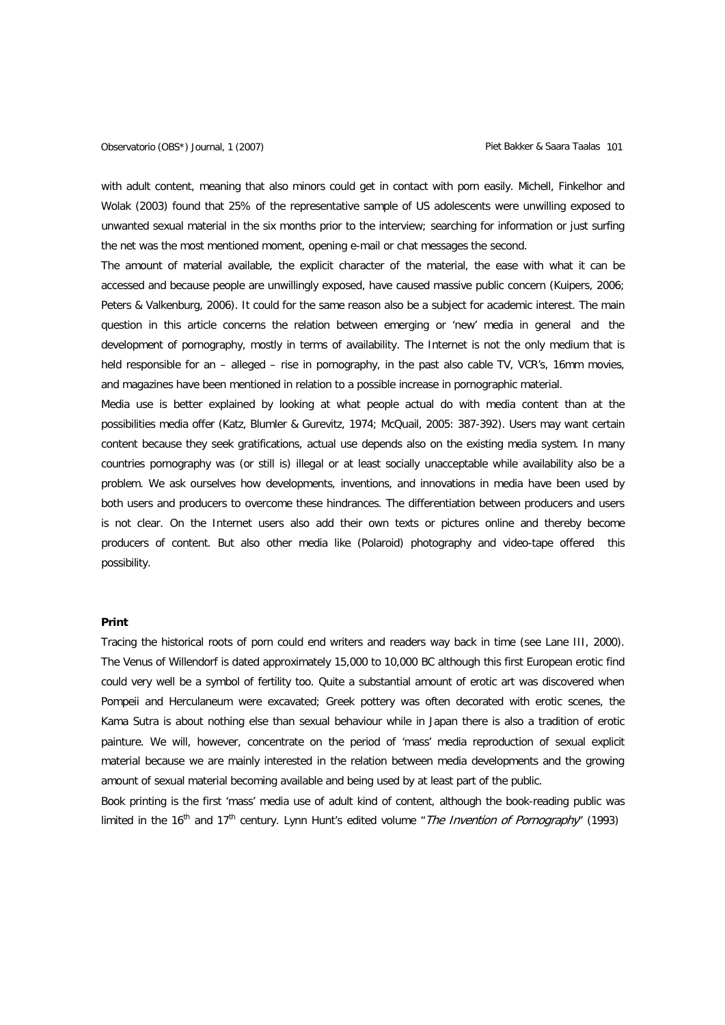with adult content, meaning that also minors could get in contact with porn easily. Michell, Finkelhor and Wolak (2003) found that 25% of the representative sample of US adolescents were unwilling exposed to unwanted sexual material in the six months prior to the interview; searching for information or just surfing the net was the most mentioned moment, opening e-mail or chat messages the second.

The amount of material available, the explicit character of the material, the ease with what it can be accessed and because people are unwillingly exposed, have caused massive public concern (Kuipers, 2006; Peters & Valkenburg, 2006). It could for the same reason also be a subject for academic interest. The main question in this article concerns the relation between emerging or 'new' media in general and the development of pornography, mostly in terms of availability. The Internet is not the only medium that is held responsible for an - alleged - rise in pornography, in the past also cable TV, VCR's, 16mm movies, and magazines have been mentioned in relation to a possible increase in pornographic material.

Media use is better explained by looking at what people actual do with media content than at the possibilities media offer (Katz, Blumler & Gurevitz, 1974; McQuail, 2005: 387-392). Users may want certain content because they seek gratifications, actual use depends also on the existing media system. In many countries pornography was (or still is) illegal or at least socially unacceptable while availability also be a problem. We ask ourselves how developments, inventions, and innovations in media have been used by both users and producers to overcome these hindrances. The differentiation between producers and users is not clear. On the Internet users also add their own texts or pictures online and thereby become producers of content. But also other media like (Polaroid) photography and video-tape offered this possibility.

### **Print**

Tracing the historical roots of porn could end writers and readers way back in time (see Lane III, 2000). The Venus of Willendorf is dated approximately 15,000 to 10,000 BC although this first European erotic find could very well be a symbol of fertility too. Quite a substantial amount of erotic art was discovered when Pompeii and Herculaneum were excavated; Greek pottery was often decorated with erotic scenes, the Kama Sutra is about nothing else than sexual behaviour while in Japan there is also a tradition of erotic painture. We will, however, concentrate on the period of 'mass' media reproduction of sexual explicit material because we are mainly interested in the relation between media developments and the growing amount of sexual material becoming available and being used by at least part of the public.

Book printing is the first 'mass' media use of adult kind of content, although the book-reading public was limited in the 16<sup>th</sup> and 17<sup>th</sup> century. Lynn Hunt's edited volume "*The Invention of Pornography*" (1993)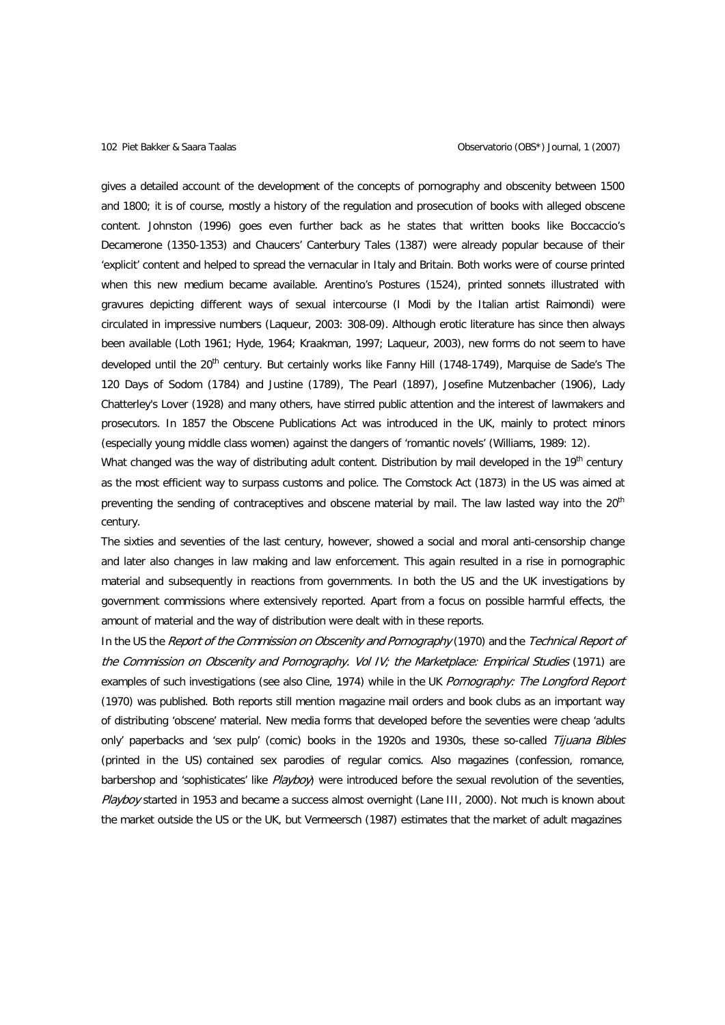gives a detailed account of the development of the concepts of pornography and obscenity between 1500 and 1800; it is of course, mostly a history of the regulation and prosecution of books with alleged obscene content. Johnston (1996) goes even further back as he states that written books like Boccaccio's Decamerone (1350-1353) and Chaucers' Canterbury Tales (1387) were already popular because of their 'explicit' content and helped to spread the vernacular in Italy and Britain. Both works were of course printed when this new medium became available. Arentino's Postures (1524), printed sonnets illustrated with gravures depicting different ways of sexual intercourse (I Modi by the Italian artist Raimondi) were circulated in impressive numbers (Laqueur, 2003: 308-09). Although erotic literature has since then always been available (Loth 1961; Hyde, 1964; Kraakman, 1997; Laqueur, 2003), new forms do not seem to have developed until the 20<sup>th</sup> century. But certainly works like Fanny Hill (1748-1749), Marquise de Sade's The 120 Days of Sodom (1784) and Justine (1789), The Pearl (1897), Josefine Mutzenbacher (1906), Lady Chatterley's Lover (1928) and many others, have stirred public attention and the interest of lawmakers and prosecutors. In 1857 the Obscene Publications Act was introduced in the UK, mainly to protect minors (especially young middle class women) against the dangers of 'romantic novels' (Williams, 1989: 12).

What changed was the way of distributing adult content. Distribution by mail developed in the 19th century as the most efficient way to surpass customs and police. The Comstock Act (1873) in the US was aimed at preventing the sending of contraceptives and obscene material by mail. The law lasted way into the 20<sup>th</sup> century.

The sixties and seventies of the last century, however, showed a social and moral anti-censorship change and later also changes in law making and law enforcement. This again resulted in a rise in pornographic material and subsequently in reactions from governments. In both the US and the UK investigations by government commissions where extensively reported. Apart from a focus on possible harmful effects, the amount of material and the way of distribution were dealt with in these reports.

In the US the Report of the Commission on Obscenity and Pornography (1970) and the Technical Report of the Commission on Obscenity and Pornography. Vol IV; the Marketplace: Empirical Studies (1971) are examples of such investigations (see also Cline, 1974) while in the UK Pornography: The Longford Report (1970) was published. Both reports still mention magazine mail orders and book clubs as an important way of distributing 'obscene' material. New media forms that developed before the seventies were cheap 'adults only' paperbacks and 'sex pulp' (comic) books in the 1920s and 1930s, these so-called Tijuana Bibles (printed in the US) contained sex parodies of regular comics. Also magazines (confession, romance, barbershop and 'sophisticates' like Playboy) were introduced before the sexual revolution of the seventies, Playboy started in 1953 and became a success almost overnight (Lane III, 2000). Not much is known about the market outside the US or the UK, but Vermeersch (1987) estimates that the market of adult magazines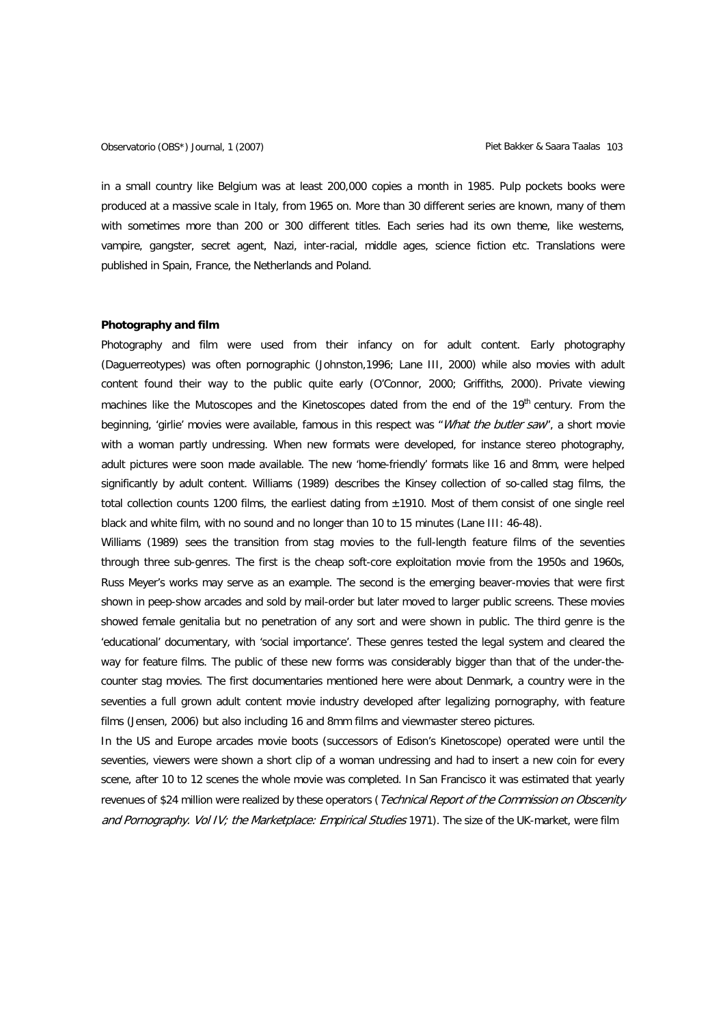in a small country like Belgium was at least 200,000 copies a month in 1985. Pulp pockets books were produced at a massive scale in Italy, from 1965 on. More than 30 different series are known, many of them with sometimes more than 200 or 300 different titles. Each series had its own theme, like westerns, vampire, gangster, secret agent, Nazi, inter-racial, middle ages, science fiction etc. Translations were published in Spain, France, the Netherlands and Poland.

### **Photography and film**

Photography and film were used from their infancy on for adult content. Early photography (Daguerreotypes) was often pornographic (Johnston,1996; Lane III, 2000) while also movies with adult content found their way to the public quite early (O'Connor, 2000; Griffiths, 2000). Private viewing machines like the Mutoscopes and the Kinetoscopes dated from the end of the  $19<sup>th</sup>$  century. From the beginning, 'girlie' movies were available, famous in this respect was "What the butler saw", a short movie with a woman partly undressing. When new formats were developed, for instance stereo photography, adult pictures were soon made available. The new 'home-friendly' formats like 16 and 8mm, were helped significantly by adult content. Williams (1989) describes the Kinsey collection of so-called stag films, the total collection counts 1200 films, the earliest dating from  $\pm$ 1910. Most of them consist of one single reel black and white film, with no sound and no longer than 10 to 15 minutes (Lane III: 46-48).

Williams (1989) sees the transition from stag movies to the full-length feature films of the seventies through three sub-genres. The first is the cheap soft-core exploitation movie from the 1950s and 1960s, Russ Meyer's works may serve as an example. The second is the emerging beaver-movies that were first shown in peep-show arcades and sold by mail-order but later moved to larger public screens. These movies showed female genitalia but no penetration of any sort and were shown in public. The third genre is the 'educational' documentary, with 'social importance'. These genres tested the legal system and cleared the way for feature films. The public of these new forms was considerably bigger than that of the under-thecounter stag movies. The first documentaries mentioned here were about Denmark, a country were in the seventies a full grown adult content movie industry developed after legalizing pornography, with feature films (Jensen, 2006) but also including 16 and 8mm films and viewmaster stereo pictures.

In the US and Europe arcades movie boots (successors of Edison's Kinetoscope) operated were until the seventies, viewers were shown a short clip of a woman undressing and had to insert a new coin for every scene, after 10 to 12 scenes the whole movie was completed. In San Francisco it was estimated that yearly revenues of \$24 million were realized by these operators (Technical Report of the Commission on Obscenity and Pornography. Vol IV; the Marketplace: Empirical Studies 1971). The size of the UK-market, were film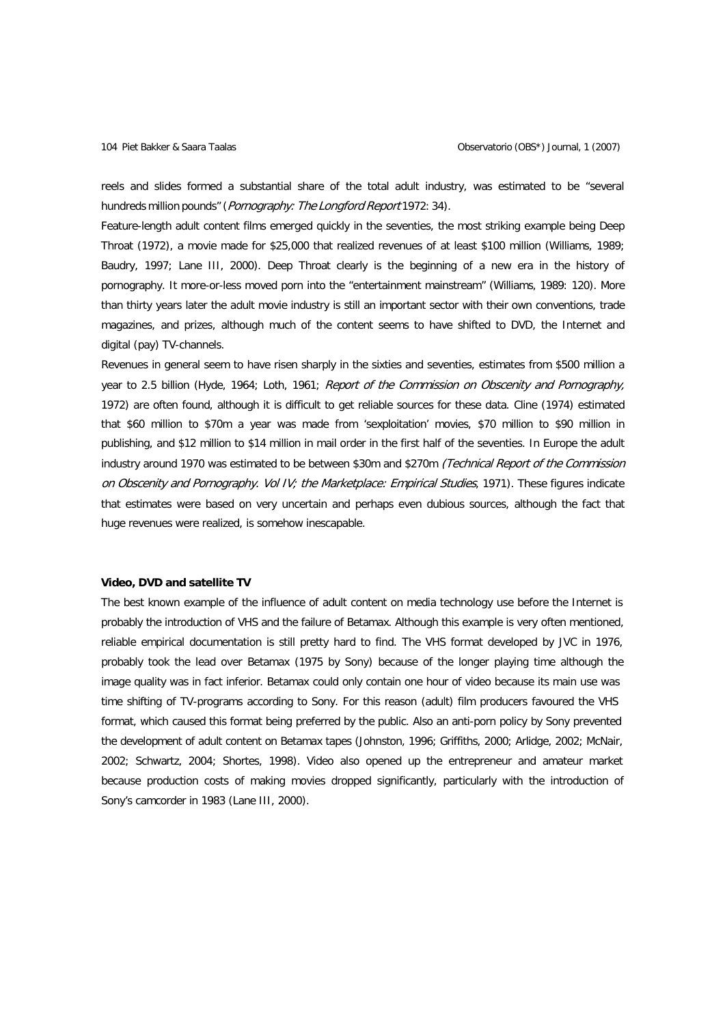reels and slides formed a substantial share of the total adult industry, was estimated to be "several hundreds million pounds" (Pornography: The Longford Report 1972: 34).

Feature-length adult content films emerged quickly in the seventies, the most striking example being Deep Throat (1972), a movie made for \$25,000 that realized revenues of at least \$100 million (Williams, 1989; Baudry, 1997; Lane III, 2000). Deep Throat clearly is the beginning of a new era in the history of pornography. It more-or-less moved porn into the "entertainment mainstream" (Williams, 1989: 120). More than thirty years later the adult movie industry is still an important sector with their own conventions, trade magazines, and prizes, although much of the content seems to have shifted to DVD, the Internet and digital (pay) TV-channels.

Revenues in general seem to have risen sharply in the sixties and seventies, estimates from \$500 million a year to 2.5 billion (Hyde, 1964; Loth, 1961; Report of the Commission on Obscenity and Pornography, 1972) are often found, although it is difficult to get reliable sources for these data. Cline (1974) estimated that \$60 million to \$70m a year was made from 'sexploitation' movies, \$70 million to \$90 million in publishing, and \$12 million to \$14 million in mail order in the first half of the seventies. In Europe the adult industry around 1970 was estimated to be between \$30m and \$270m (Technical Report of the Commission on Obscenity and Pornography. Vol IV; the Marketplace: Empirical Studies, 1971). These figures indicate that estimates were based on very uncertain and perhaps even dubious sources, although the fact that huge revenues were realized, is somehow inescapable.

### **Video, DVD and satellite TV**

The best known example of the influence of adult content on media technology use before the Internet is probably the introduction of VHS and the failure of Betamax. Although this example is very often mentioned, reliable empirical documentation is still pretty hard to find. The VHS format developed by JVC in 1976, probably took the lead over Betamax (1975 by Sony) because of the longer playing time although the image quality was in fact inferior. Betamax could only contain one hour of video because its main use was time shifting of TV-programs according to Sony. For this reason (adult) film producers favoured the VHS format, which caused this format being preferred by the public. Also an anti-porn policy by Sony prevented the development of adult content on Betamax tapes (Johnston, 1996; Griffiths, 2000; Arlidge, 2002; McNair, 2002; Schwartz, 2004; Shortes, 1998). Video also opened up the entrepreneur and amateur market because production costs of making movies dropped significantly, particularly with the introduction of Sony's camcorder in 1983 (Lane III, 2000).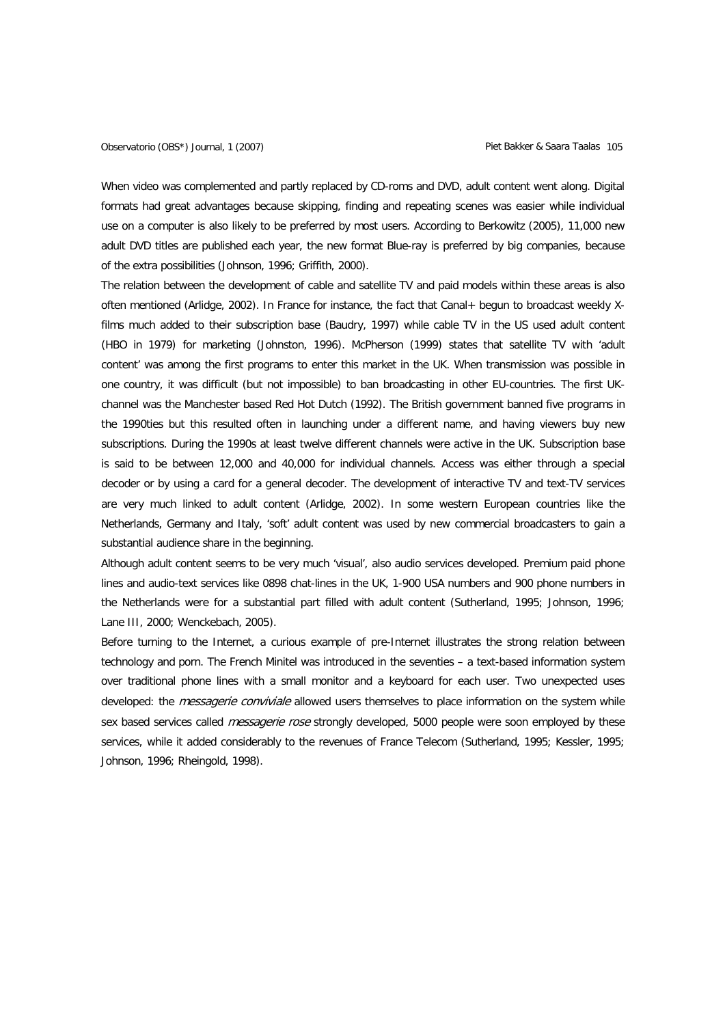When video was complemented and partly replaced by CD-roms and DVD, adult content went along. Digital formats had great advantages because skipping, finding and repeating scenes was easier while individual use on a computer is also likely to be preferred by most users. According to Berkowitz (2005), 11,000 new adult DVD titles are published each year, the new format Blue-ray is preferred by big companies, because of the extra possibilities (Johnson, 1996; Griffith, 2000).

The relation between the development of cable and satellite TV and paid models within these areas is also often mentioned (Arlidge, 2002). In France for instance, the fact that Canal+ begun to broadcast weekly Xfilms much added to their subscription base (Baudry, 1997) while cable TV in the US used adult content (HBO in 1979) for marketing (Johnston, 1996). McPherson (1999) states that satellite TV with 'adult content' was among the first programs to enter this market in the UK. When transmission was possible in one country, it was difficult (but not impossible) to ban broadcasting in other EU-countries. The first UKchannel was the Manchester based Red Hot Dutch (1992). The British government banned five programs in the 1990ties but this resulted often in launching under a different name, and having viewers buy new subscriptions. During the 1990s at least twelve different channels were active in the UK. Subscription base is said to be between 12,000 and 40,000 for individual channels. Access was either through a special decoder or by using a card for a general decoder. The development of interactive TV and text-TV services are very much linked to adult content (Arlidge, 2002). In some western European countries like the Netherlands, Germany and Italy, 'soft' adult content was used by new commercial broadcasters to gain a substantial audience share in the beginning.

Although adult content seems to be very much 'visual', also audio services developed. Premium paid phone lines and audio-text services like 0898 chat-lines in the UK, 1-900 USA numbers and 900 phone numbers in the Netherlands were for a substantial part filled with adult content (Sutherland, 1995; Johnson, 1996; Lane III, 2000; Wenckebach, 2005).

Before turning to the Internet, a curious example of pre-Internet illustrates the strong relation between technology and porn. The French Minitel was introduced in the seventies – a text-based information system over traditional phone lines with a small monitor and a keyboard for each user. Two unexpected uses developed: the *messagerie conviviale* allowed users themselves to place information on the system while sex based services called *messagerie rose* strongly developed, 5000 people were soon employed by these services, while it added considerably to the revenues of France Telecom (Sutherland, 1995; Kessler, 1995; Johnson, 1996; Rheingold, 1998).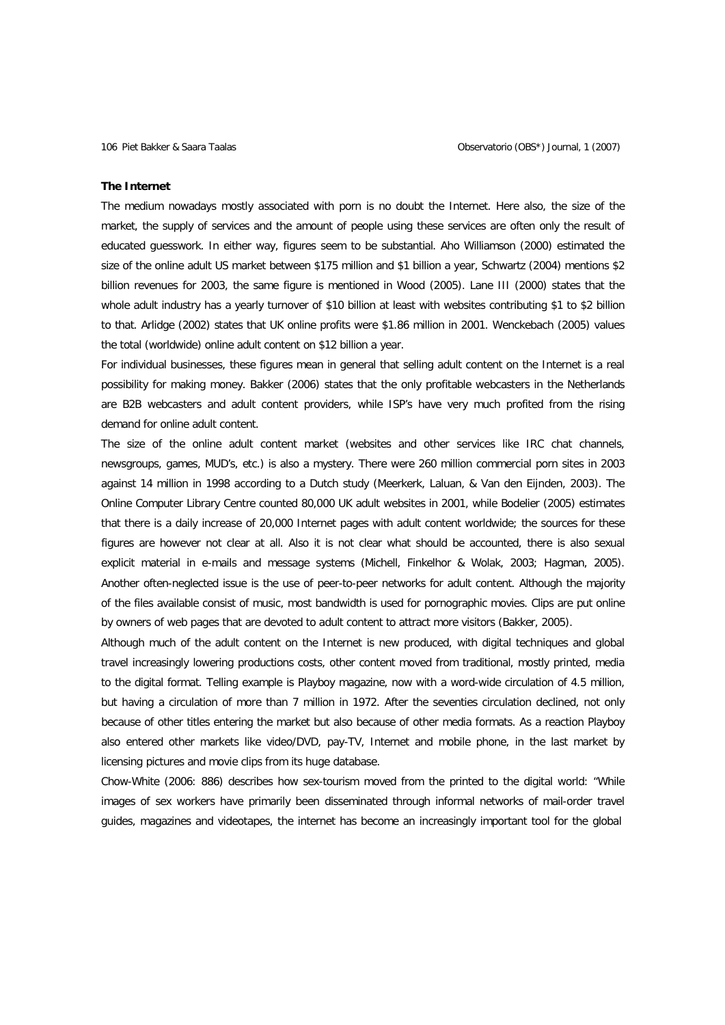#### **The Internet**

The medium nowadays mostly associated with porn is no doubt the Internet. Here also, the size of the market, the supply of services and the amount of people using these services are often only the result of educated guesswork. In either way, figures seem to be substantial. Aho Williamson (2000) estimated the size of the online adult US market between \$175 million and \$1 billion a year, Schwartz (2004) mentions \$2 billion revenues for 2003, the same figure is mentioned in Wood (2005). Lane III (2000) states that the whole adult industry has a yearly turnover of \$10 billion at least with websites contributing \$1 to \$2 billion to that. Arlidge (2002) states that UK online profits were \$1.86 million in 2001. Wenckebach (2005) values the total (worldwide) online adult content on \$12 billion a year.

For individual businesses, these figures mean in general that selling adult content on the Internet is a real possibility for making money. Bakker (2006) states that the only profitable webcasters in the Netherlands are B2B webcasters and adult content providers, while ISP's have very much profited from the rising demand for online adult content.

The size of the online adult content market (websites and other services like IRC chat channels, newsgroups, games, MUD's, etc.) is also a mystery. There were 260 million commercial porn sites in 2003 against 14 million in 1998 according to a Dutch study (Meerkerk, Laluan, & Van den Eijnden, 2003). The Online Computer Library Centre counted 80,000 UK adult websites in 2001, while Bodelier (2005) estimates that there is a daily increase of 20,000 Internet pages with adult content worldwide; the sources for these figures are however not clear at all. Also it is not clear what should be accounted, there is also sexual explicit material in e-mails and message systems (Michell, Finkelhor & Wolak, 2003; Hagman, 2005). Another often-neglected issue is the use of peer-to-peer networks for adult content. Although the majority of the files available consist of music, most bandwidth is used for pornographic movies. Clips are put online by owners of web pages that are devoted to adult content to attract more visitors (Bakker, 2005).

Although much of the adult content on the Internet is new produced, with digital techniques and global travel increasingly lowering productions costs, other content moved from traditional, mostly printed, media to the digital format. Telling example is Playboy magazine, now with a word-wide circulation of 4.5 million, but having a circulation of more than 7 million in 1972. After the seventies circulation declined, not only because of other titles entering the market but also because of other media formats. As a reaction Playboy also entered other markets like video/DVD, pay-TV, Internet and mobile phone, in the last market by licensing pictures and movie clips from its huge database.

Chow-White (2006: 886) describes how sex-tourism moved from the printed to the digital world: "While images of sex workers have primarily been disseminated through informal networks of mail-order travel guides, magazines and videotapes, the internet has become an increasingly important tool for the global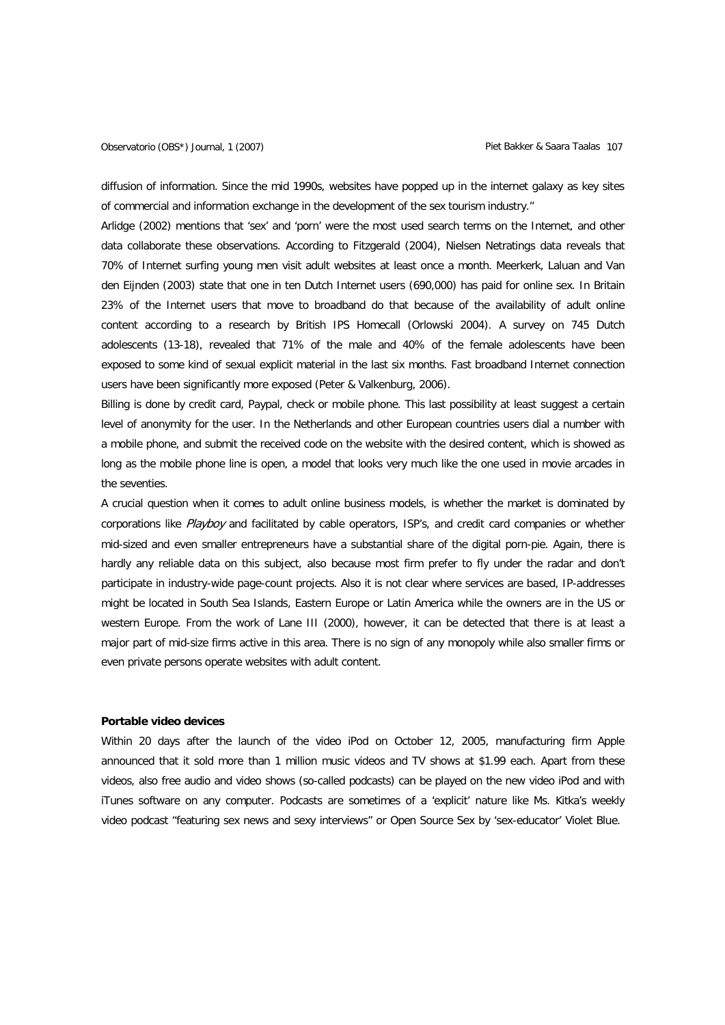diffusion of information. Since the mid 1990s, websites have popped up in the internet galaxy as key sites of commercial and information exchange in the development of the sex tourism industry."

Arlidge (2002) mentions that 'sex' and 'porn' were the most used search terms on the Internet, and other data collaborate these observations. According to Fitzgerald (2004), Nielsen Netratings data reveals that 70% of Internet surfing young men visit adult websites at least once a month. Meerkerk, Laluan and Van den Eijnden (2003) state that one in ten Dutch Internet users (690,000) has paid for online sex. In Britain 23% of the Internet users that move to broadband do that because of the availability of adult online content according to a research by British IPS Homecall (Orlowski 2004). A survey on 745 Dutch adolescents (13-18), revealed that 71% of the male and 40% of the female adolescents have been exposed to some kind of sexual explicit material in the last six months. Fast broadband Internet connection users have been significantly more exposed (Peter & Valkenburg, 2006).

Billing is done by credit card, Paypal, check or mobile phone. This last possibility at least suggest a certain level of anonymity for the user. In the Netherlands and other European countries users dial a number with a mobile phone, and submit the received code on the website with the desired content, which is showed as long as the mobile phone line is open, a model that looks very much like the one used in movie arcades in the seventies.

A crucial question when it comes to adult online business models, is whether the market is dominated by corporations like Playboy and facilitated by cable operators, ISP's, and credit card companies or whether mid-sized and even smaller entrepreneurs have a substantial share of the digital porn-pie. Again, there is hardly any reliable data on this subject, also because most firm prefer to fly under the radar and don't participate in industry-wide page-count projects. Also it is not clear where services are based, IP-addresses might be located in South Sea Islands, Eastern Europe or Latin America while the owners are in the US or western Europe. From the work of Lane III (2000), however, it can be detected that there is at least a major part of mid-size firms active in this area. There is no sign of any monopoly while also smaller firms or even private persons operate websites with adult content.

#### **Portable video devices**

Within 20 days after the launch of the video iPod on October 12, 2005, manufacturing firm Apple announced that it sold more than 1 million music videos and TV shows at \$1.99 each. Apart from these videos, also free audio and video shows (so-called podcasts) can be played on the new video iPod and with iTunes software on any computer. Podcasts are sometimes of a 'explicit' nature like Ms. Kitka's weekly video podcast "featuring sex news and sexy interviews" or Open Source Sex by 'sex-educator' Violet Blue.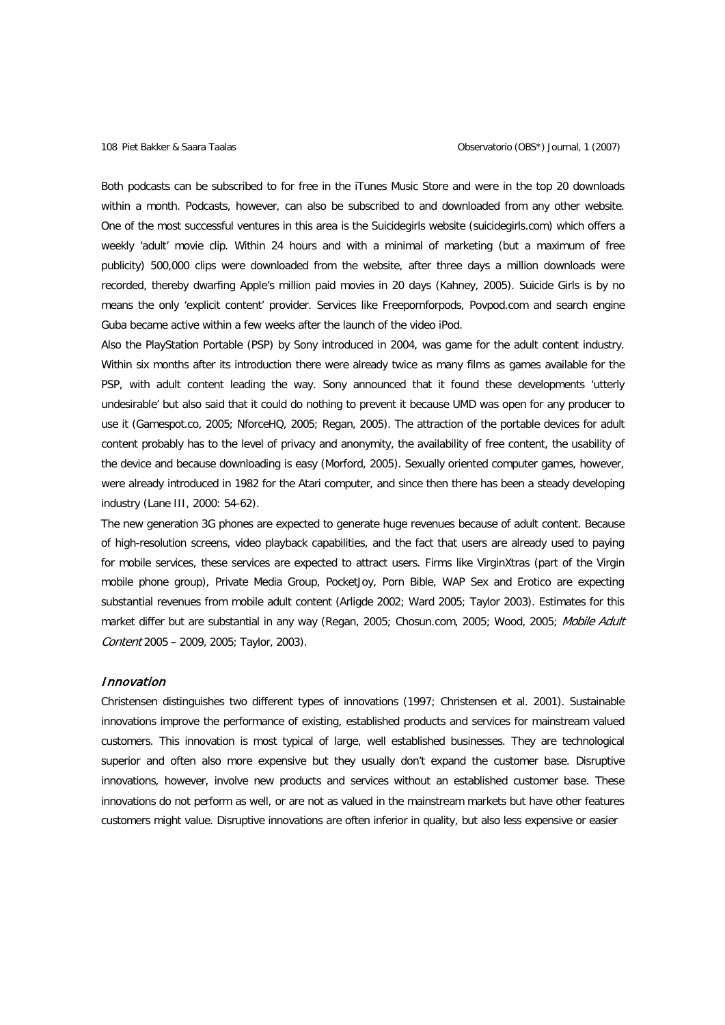Both podcasts can be subscribed to for free in the iTunes Music Store and were in the top 20 downloads within a month. Podcasts, however, can also be subscribed to and downloaded from any other website. One of the most successful ventures in this area is the Suicidegirls website (suicidegirls.com) which offers a weekly 'adult' movie clip. Within 24 hours and with a minimal of marketing (but a maximum of free publicity) 500,000 clips were downloaded from the website, after three days a million downloads were recorded, thereby dwarfing Apple's million paid movies in 20 days (Kahney, 2005). Suicide Girls is by no means the only 'explicit content' provider. Services like Freepornforpods, Povpod.com and search engine Guba became active within a few weeks after the launch of the video iPod.

Also the PlayStation Portable (PSP) by Sony introduced in 2004, was game for the adult content industry. Within six months after its introduction there were already twice as many films as games available for the PSP, with adult content leading the way. Sony announced that it found these developments 'utterly undesirable' but also said that it could do nothing to prevent it because UMD was open for any producer to use it (Gamespot.co, 2005; NforceHQ, 2005; Regan, 2005). The attraction of the portable devices for adult content probably has to the level of privacy and anonymity, the availability of free content, the usability of the device and because downloading is easy (Morford, 2005). Sexually oriented computer games, however, were already introduced in 1982 for the Atari computer, and since then there has been a steady developing industry (Lane III, 2000: 54-62).

The new generation 3G phones are expected to generate huge revenues because of adult content. Because of high-resolution screens, video playback capabilities, and the fact that users are already used to paying for mobile services, these services are expected to attract users. Firms like VirginXtras (part of the Virgin mobile phone group), Private Media Group, PocketJoy, Porn Bible, WAP Sex and Erotico are expecting substantial revenues from mobile adult content (Arligde 2002; Ward 2005; Taylor 2003). Estimates for this market differ but are substantial in any way (Regan, 2005; Chosun.com, 2005; Wood, 2005; Mobile Adult Content 2005 – 2009, 2005; Taylor, 2003).

## Innovation

Christensen distinguishes two different types of innovations (1997; Christensen et al. 2001). Sustainable innovations improve the performance of existing, established products and services for mainstream valued customers. This innovation is most typical of large, well established businesses. They are technological superior and often also more expensive but they usually don't expand the customer base. Disruptive innovations, however, involve new products and services without an established customer base. These innovations do not perform as well, or are not as valued in the mainstream markets but have other features customers might value. Disruptive innovations are often inferior in quality, but also less expensive or easier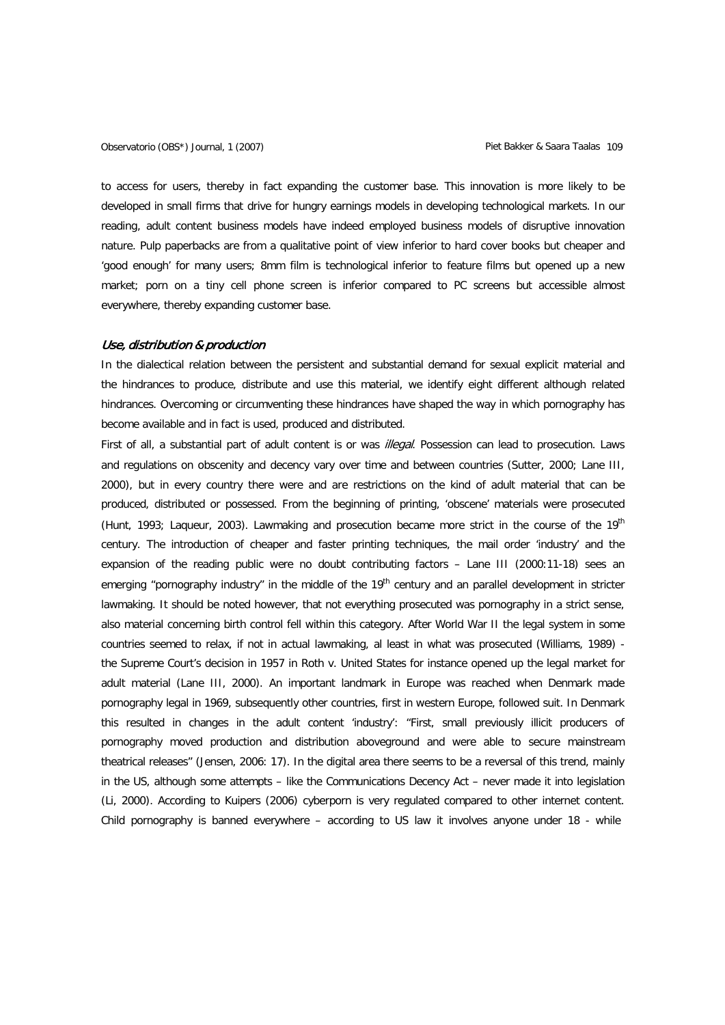to access for users, thereby in fact expanding the customer base. This innovation is more likely to be developed in small firms that drive for hungry earnings models in developing technological markets. In our reading, adult content business models have indeed employed business models of disruptive innovation nature. Pulp paperbacks are from a qualitative point of view inferior to hard cover books but cheaper and 'good enough' for many users; 8mm film is technological inferior to feature films but opened up a new market; porn on a tiny cell phone screen is inferior compared to PC screens but accessible almost everywhere, thereby expanding customer base.

### Use, distribution & production

In the dialectical relation between the persistent and substantial demand for sexual explicit material and the hindrances to produce, distribute and use this material, we identify eight different although related hindrances. Overcoming or circumventing these hindrances have shaped the way in which pornography has become available and in fact is used, produced and distributed.

First of all, a substantial part of adult content is or was *illegal*. Possession can lead to prosecution. Laws and regulations on obscenity and decency vary over time and between countries (Sutter, 2000; Lane III, 2000), but in every country there were and are restrictions on the kind of adult material that can be produced, distributed or possessed. From the beginning of printing, 'obscene' materials were prosecuted (Hunt, 1993; Laqueur, 2003). Lawmaking and prosecution became more strict in the course of the 19<sup>th</sup> century. The introduction of cheaper and faster printing techniques, the mail order 'industry' and the expansion of the reading public were no doubt contributing factors – Lane III (2000:11-18) sees an emerging "pornography industry" in the middle of the  $19<sup>th</sup>$  century and an parallel development in stricter lawmaking. It should be noted however, that not everything prosecuted was pornography in a strict sense, also material concerning birth control fell within this category. After World War II the legal system in some countries seemed to relax, if not in actual lawmaking, al least in what was prosecuted (Williams, 1989) the Supreme Court's decision in 1957 in Roth v. United States for instance opened up the legal market for adult material (Lane III, 2000). An important landmark in Europe was reached when Denmark made pornography legal in 1969, subsequently other countries, first in western Europe, followed suit. In Denmark this resulted in changes in the adult content 'industry': "First, small previously illicit producers of pornography moved production and distribution aboveground and were able to secure mainstream theatrical releases" (Jensen, 2006: 17). In the digital area there seems to be a reversal of this trend, mainly in the US, although some attempts – like the Communications Decency Act – never made it into legislation (Li, 2000). According to Kuipers (2006) cyberporn is very regulated compared to other internet content. Child pornography is banned everywhere – according to US law it involves anyone under 18 - while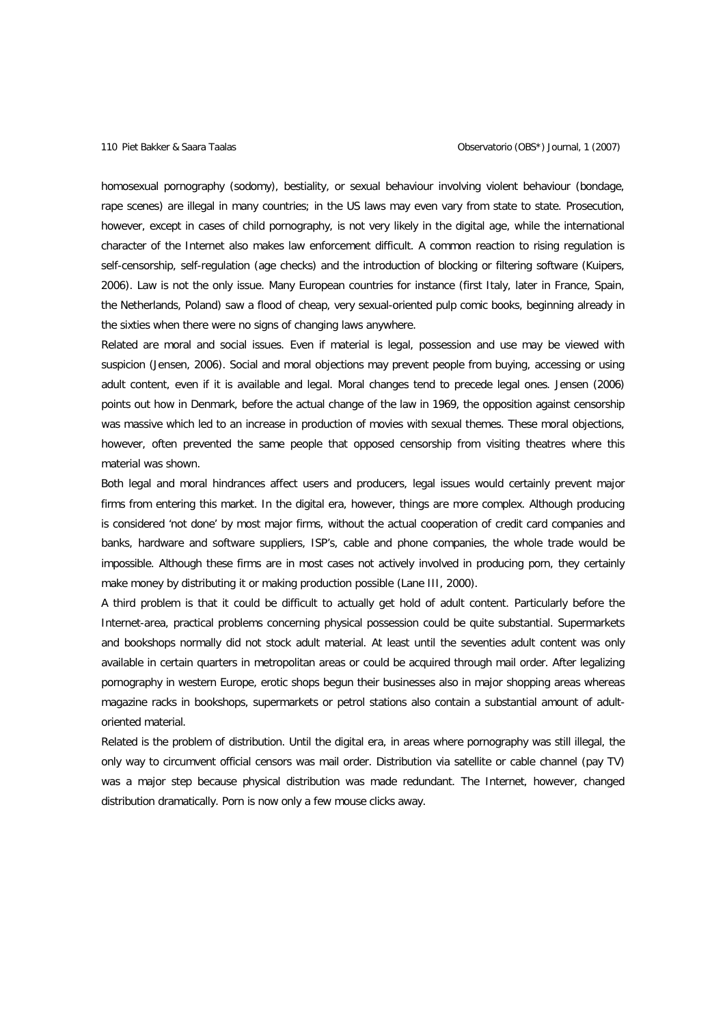homosexual pornography (sodomy), bestiality, or sexual behaviour involving violent behaviour (bondage, rape scenes) are illegal in many countries; in the US laws may even vary from state to state. Prosecution, however, except in cases of child pornography, is not very likely in the digital age, while the international character of the Internet also makes law enforcement difficult. A common reaction to rising regulation is self-censorship, self-regulation (age checks) and the introduction of blocking or filtering software (Kuipers, 2006). Law is not the only issue. Many European countries for instance (first Italy, later in France, Spain, the Netherlands, Poland) saw a flood of cheap, very sexual-oriented pulp comic books, beginning already in the sixties when there were no signs of changing laws anywhere.

Related are moral and social issues. Even if material is legal, possession and use may be viewed with suspicion (Jensen, 2006). Social and moral objections may prevent people from buying, accessing or using adult content, even if it is available and legal. Moral changes tend to precede legal ones. Jensen (2006) points out how in Denmark, before the actual change of the law in 1969, the opposition against censorship was massive which led to an increase in production of movies with sexual themes. These moral objections, however, often prevented the same people that opposed censorship from visiting theatres where this material was shown.

Both legal and moral hindrances affect users and producers, legal issues would certainly prevent major firms from entering this market. In the digital era, however, things are more complex. Although producing is considered 'not done' by most major firms, without the actual cooperation of credit card companies and banks, hardware and software suppliers, ISP's, cable and phone companies, the whole trade would be impossible. Although these firms are in most cases not actively involved in producing porn, they certainly make money by distributing it or making production possible (Lane III, 2000).

A third problem is that it could be difficult to actually get hold of adult content. Particularly before the Internet-area, practical problems concerning physical possession could be quite substantial. Supermarkets and bookshops normally did not stock adult material. At least until the seventies adult content was only available in certain quarters in metropolitan areas or could be acquired through mail order. After legalizing pornography in western Europe, erotic shops begun their businesses also in major shopping areas whereas magazine racks in bookshops, supermarkets or petrol stations also contain a substantial amount of adultoriented material.

Related is the problem of distribution. Until the digital era, in areas where pornography was still illegal, the only way to circumvent official censors was mail order. Distribution via satellite or cable channel (pay TV) was a major step because physical distribution was made redundant. The Internet, however, changed distribution dramatically. Porn is now only a few mouse clicks away.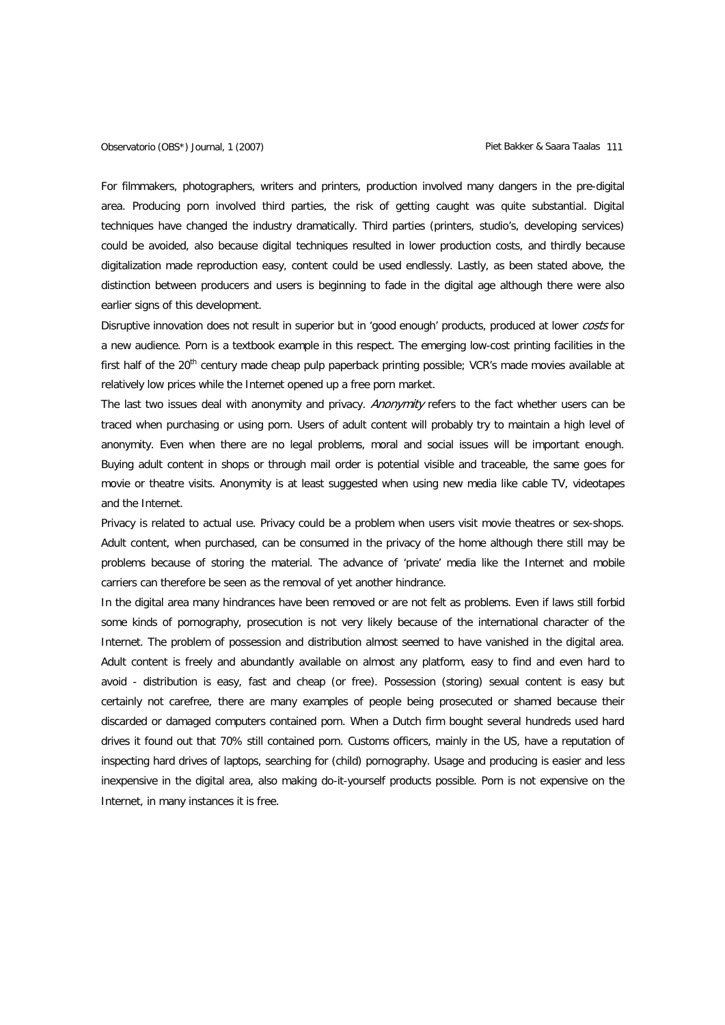For filmmakers, photographers, writers and printers, production involved many dangers in the pre-digital area. Producing porn involved third parties, the risk of getting caught was quite substantial. Digital techniques have changed the industry dramatically. Third parties (printers, studio's, developing services) could be avoided, also because digital techniques resulted in lower production costs, and thirdly because digitalization made reproduction easy, content could be used endlessly. Lastly, as been stated above, the distinction between producers and users is beginning to fade in the digital age although there were also earlier signs of this development.

Disruptive innovation does not result in superior but in 'good enough' products, produced at lower costs for a new audience. Porn is a textbook example in this respect. The emerging low-cost printing facilities in the first half of the 20<sup>th</sup> century made cheap pulp paperback printing possible; VCR's made movies available at relatively low prices while the Internet opened up a free porn market.

The last two issues deal with anonymity and privacy. Anonymity refers to the fact whether users can be traced when purchasing or using porn. Users of adult content will probably try to maintain a high level of anonymity. Even when there are no legal problems, moral and social issues will be important enough. Buying adult content in shops or through mail order is potential visible and traceable, the same goes for movie or theatre visits. Anonymity is at least suggested when using new media like cable TV, videotapes and the Internet.

Privacy is related to actual use. Privacy could be a problem when users visit movie theatres or sex-shops. Adult content, when purchased, can be consumed in the privacy of the home although there still may be problems because of storing the material. The advance of 'private' media like the Internet and mobile carriers can therefore be seen as the removal of yet another hindrance.

In the digital area many hindrances have been removed or are not felt as problems. Even if laws still forbid some kinds of pornography, prosecution is not very likely because of the international character of the Internet. The problem of possession and distribution almost seemed to have vanished in the digital area. Adult content is freely and abundantly available on almost any platform, easy to find and even hard to avoid - distribution is easy, fast and cheap (or free). Possession (storing) sexual content is easy but certainly not carefree, there are many examples of people being prosecuted or shamed because their discarded or damaged computers contained porn. When a Dutch firm bought several hundreds used hard drives it found out that 70% still contained porn. Customs officers, mainly in the US, have a reputation of inspecting hard drives of laptops, searching for (child) pornography. Usage and producing is easier and less inexpensive in the digital area, also making do-it-yourself products possible. Porn is not expensive on the Internet, in many instances it is free.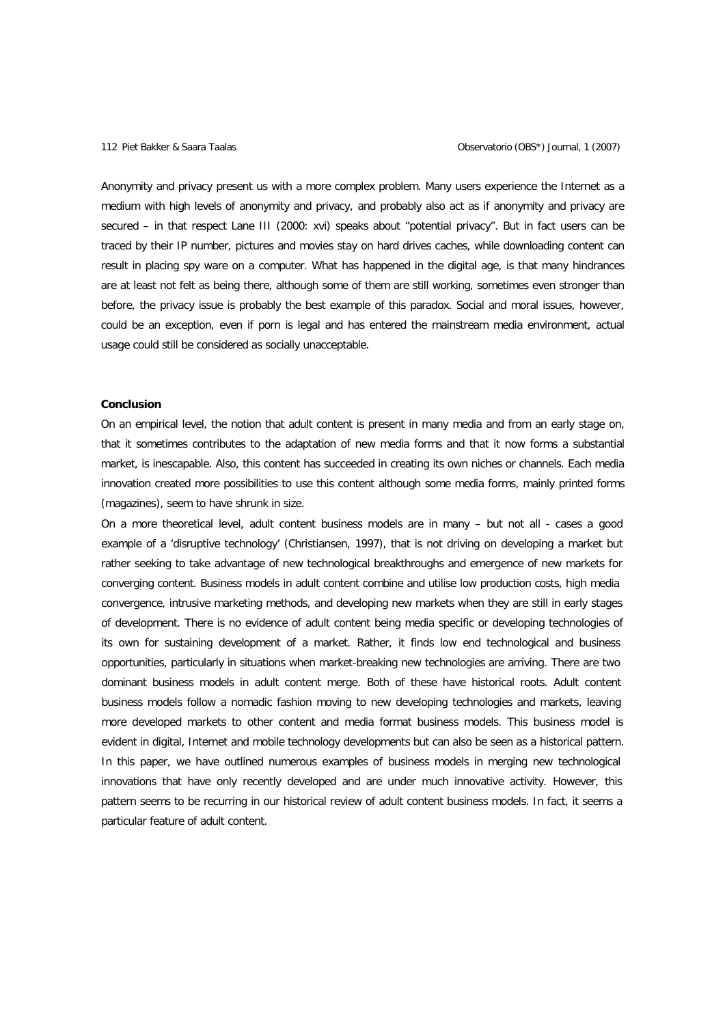Anonymity and privacy present us with a more complex problem. Many users experience the Internet as a medium with high levels of anonymity and privacy, and probably also act as if anonymity and privacy are secured – in that respect Lane III (2000: xvi) speaks about "potential privacy". But in fact users can be traced by their IP number, pictures and movies stay on hard drives caches, while downloading content can result in placing spy ware on a computer. What has happened in the digital age, is that many hindrances are at least not felt as being there, although some of them are still working, sometimes even stronger than before, the privacy issue is probably the best example of this paradox. Social and moral issues, however, could be an exception, even if porn is legal and has entered the mainstream media environment, actual usage could still be considered as socially unacceptable.

## **Conclusion**

On an empirical level, the notion that adult content is present in many media and from an early stage on, that it sometimes contributes to the adaptation of new media forms and that it now forms a substantial market, is inescapable. Also, this content has succeeded in creating its own niches or channels. Each media innovation created more possibilities to use this content although some media forms, mainly printed forms (magazines), seem to have shrunk in size.

On a more theoretical level, adult content business models are in many – but not all - cases a good example of a 'disruptive technology' (Christiansen, 1997), that is not driving on developing a market but rather seeking to take advantage of new technological breakthroughs and emergence of new markets for converging content. Business models in adult content combine and utilise low production costs, high media convergence, intrusive marketing methods, and developing new markets when they are still in early stages of development. There is no evidence of adult content being media specific or developing technologies of its own for sustaining development of a market. Rather, it finds low end technological and business opportunities, particularly in situations when market-breaking new technologies are arriving. There are two dominant business models in adult content merge. Both of these have historical roots. Adult content business models follow a nomadic fashion moving to new developing technologies and markets, leaving more developed markets to other content and media format business models. This business model is evident in digital, Internet and mobile technology developments but can also be seen as a historical pattern. In this paper, we have outlined numerous examples of business models in merging new technological innovations that have only recently developed and are under much innovative activity. However, this pattern seems to be recurring in our historical review of adult content business models. In fact, it seems a particular feature of adult content.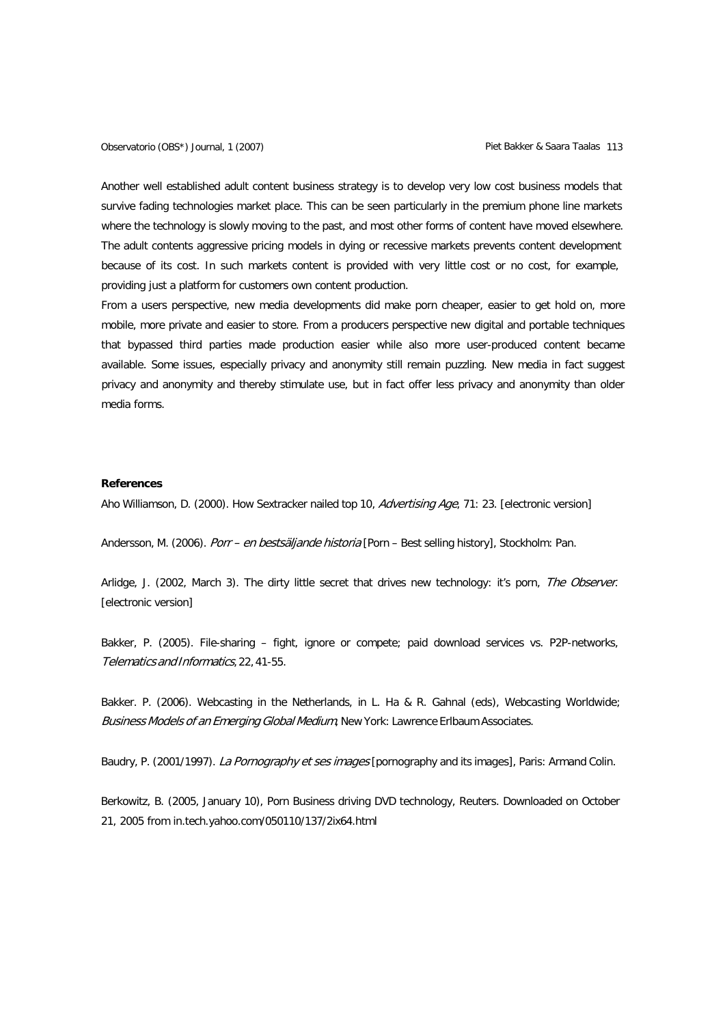Observatorio (OBS\*) Journal, 1 (2007) Charles Controller Mathematic Piet Bakker & Saara Taalas 113

Another well established adult content business strategy is to develop very low cost business models that survive fading technologies market place. This can be seen particularly in the premium phone line markets where the technology is slowly moving to the past, and most other forms of content have moved elsewhere. The adult contents aggressive pricing models in dying or recessive markets prevents content development because of its cost. In such markets content is provided with very little cost or no cost, for example, providing just a platform for customers own content production.

From a users perspective, new media developments did make porn cheaper, easier to get hold on, more mobile, more private and easier to store. From a producers perspective new digital and portable techniques that bypassed third parties made production easier while also more user-produced content became available. Some issues, especially privacy and anonymity still remain puzzling. New media in fact suggest privacy and anonymity and thereby stimulate use, but in fact offer less privacy and anonymity than older media forms.

### **References**

Aho Williamson, D. (2000). How Sextracker nailed top 10, *Advertising Age*, 71: 23. [electronic version]

Andersson, M. (2006). Porr – en bestsäljande historia [Porn – Best selling history], Stockholm: Pan.

Arlidge, J. (2002, March 3). The dirty little secret that drives new technology: it's porn, The Observer. [electronic version]

Bakker, P. (2005). File-sharing – fight, ignore or compete; paid download services vs. P2P-networks, Telematics and Informatics, 22,41-55.

Bakker. P. (2006). Webcasting in the Netherlands, in L. Ha & R. Gahnal (eds), Webcasting Worldwide; Business Models of an Emerging Global Medium, New York: Lawrence Erlbaum Associates.

Baudry, P. (2001/1997). La Pornography et ses images [pornography and its images], Paris: Armand Colin.

Berkowitz, B. (2005, January 10), Porn Business driving DVD technology, Reuters. Downloaded on October 21, 2005 from in.tech.yahoo.com/050110/137/2ix64.html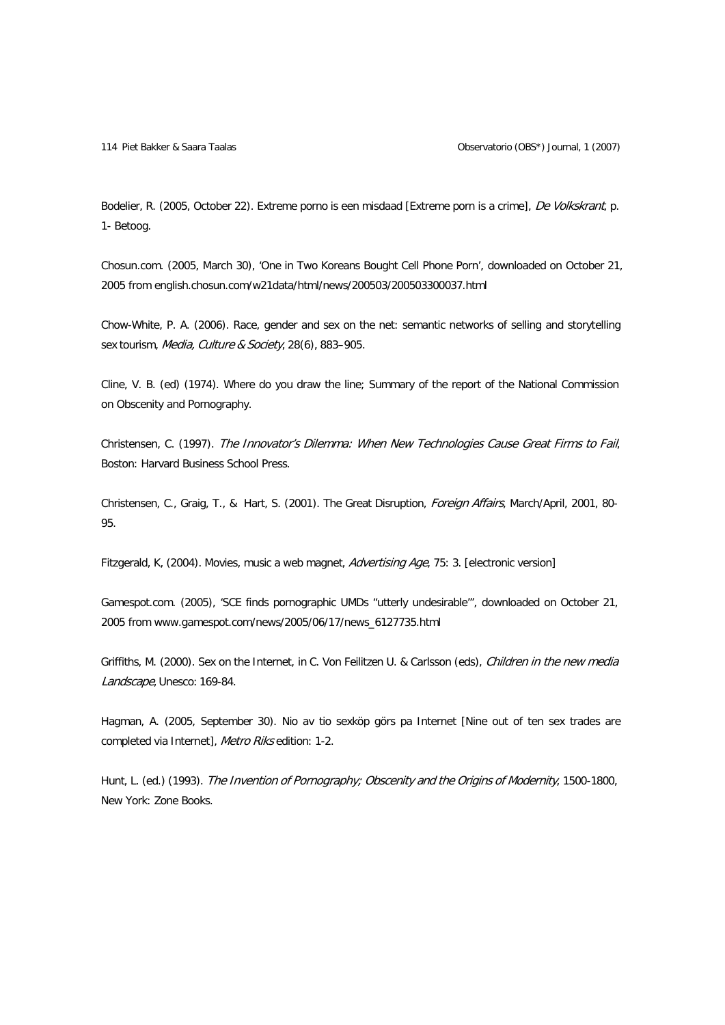114 Piet Bakker & Saara Taalas Observatorio (OBS\*) Journal, 1 (2007)

Bodelier, R. (2005, October 22). Extreme porno is een misdaad [Extreme porn is a crime], De Volkskrant, p. 1- Betoog.

Chosun.com. (2005, March 30), 'One in Two Koreans Bought Cell Phone Porn', downloaded on October 21, 2005 from [english.](http://english/)chosun.com/w21data/html/news/200503/200503300037.html

Chow-White, P. A. (2006). Race, gender and sex on the net: semantic networks of selling and storytelling sex tourism, Media, Culture & Society, 28(6), 883-905.

Cline, V. B. (ed) (1974). Where do you draw the line; Summary of the report of the National Commission on Obscenity and Pornography.

Christensen, C. (1997). The Innovator's Dilemma: When New Technologies Cause Great Firms to Fail, Boston: Harvard Business School Press.

Christensen, C., Graig, T., & Hart, S. (2001). The Great Disruption, Foreign Affairs, March/April, 2001, 80- 95.

Fitzgerald, K, (2004). Movies, music a web magnet, Advertising Age, 75: 3. [electronic version]

Gamespot.com. (2005), 'SCE finds pornographic UMDs "utterly undesirable"', downloaded on October 21, 2005 from [www.gamespot.com/news/2005/06/17/news\\_6127735.html](http://www.gamespot.com/news/2005/06/17/news_6127735.html)

Griffiths, M. (2000). Sex on the Internet, in C. Von Feilitzen U. & Carlsson (eds), Children in the new media Landscape, Unesco: 169-84.

Hagman, A. (2005, September 30). Nio av tio sexköp görs pa Internet [Nine out of ten sex trades are completed via Internet], Metro Riks edition: 1-2.

Hunt, L. (ed.) (1993). The Invention of Pornography; Obscenity and the Origins of Modernity, 1500-1800, New York: Zone Books.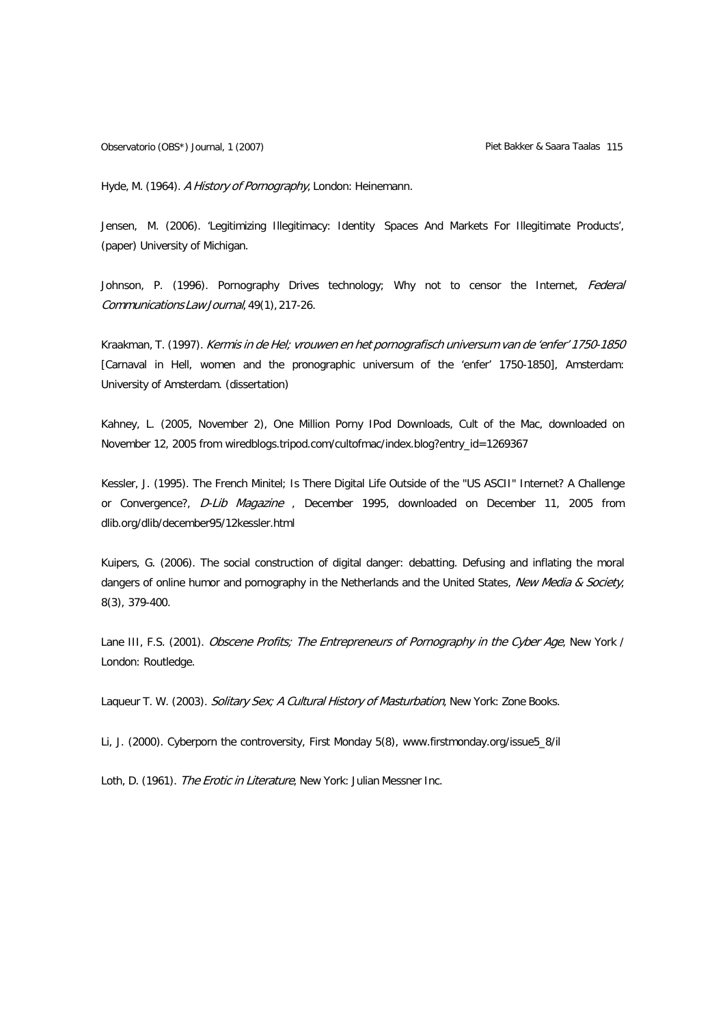Hyde, M. (1964). A History of Pornography, London: Heinemann.

Jensen, M. (2006). 'Legitimizing Illegitimacy: Identity Spaces And Markets For Illegitimate Products', (paper) University of Michigan.

Johnson, P. (1996). Pornography Drives technology; Why not to censor the Internet, Federal Communications LawJournal, 49(1), 217-26.

Kraakman, T. (1997). Kermis in de Hel; vrouwen en het pornografisch universum van de 'enfer' 1750-1850 [Carnaval in Hell, women and the pronographic universum of the 'enfer' 1750-1850], Amsterdam: University of Amsterdam. (dissertation)

Kahney, L. (2005, November 2), One Million Porny IPod Downloads, Cult of the Mac, downloaded on November 12, 2005 from wiredblogs.tripod.com/cultofmac/index.blog?entry\_id=1269367

Kessler, J. (1995). The French Minitel; Is There Digital Life Outside of the "US ASCII" Internet? A Challenge or Convergence?, D-Lib Magazine, December 1995, downloaded on December 11, 2005 from dlib.org/dlib/december95/12kessler.html

Kuipers, G. (2006). The social construction of digital danger: debatting. Defusing and inflating the moral dangers of online humor and pornography in the Netherlands and the United States, New Media & Society, 8(3), 379-400.

Lane III, F.S. (2001). Obscene Profits; The Entrepreneurs of Pornography in the Cyber Age, New York / London: Routledge.

Laqueur T. W. (2003). Solitary Sex; A Cultural History of Masturbation, New York: Zone Books.

Li, J. (2000). Cyberporn the controversity, First Monday 5(8), [www.firstmonday.org/issue5\\_8/il](http://www.firstmonday.org/issue5_8/il)

Loth, D. (1961). The Erotic in Literature, New York: Julian Messner Inc.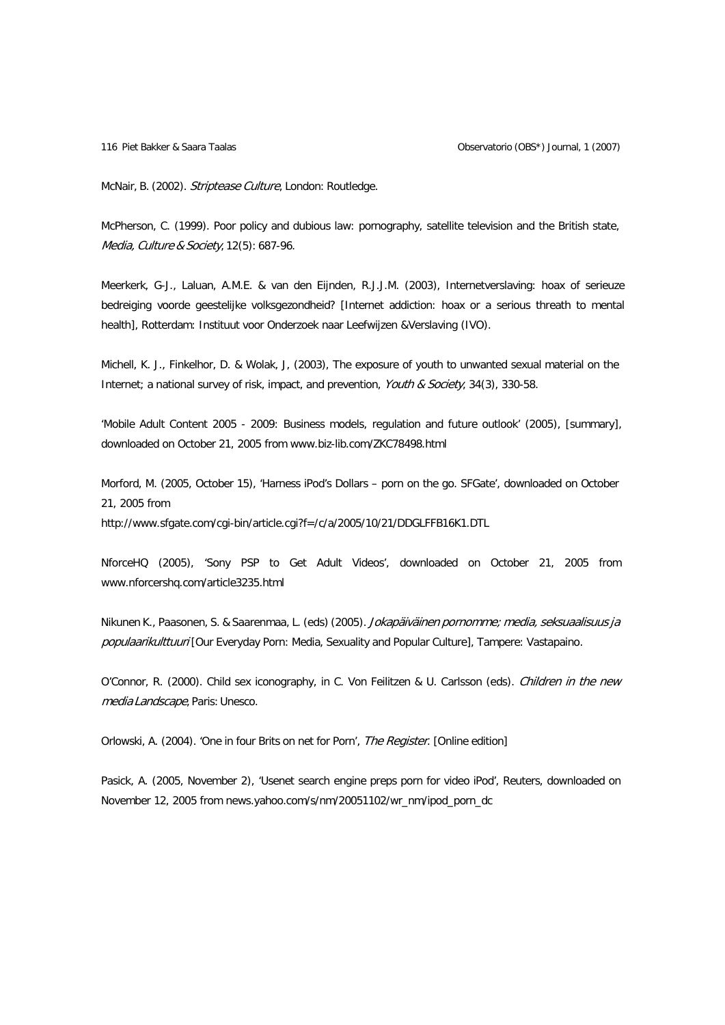McNair, B. (2002). Striptease Culture, London: Routledge.

McPherson, C. (1999). Poor policy and dubious law: pornography, satellite television and the British state, Media, Culture & Society, 12(5): 687-96.

Meerkerk, G-J., Laluan, A.M.E. & van den Eijnden, R.J.J.M. (2003), Internetverslaving: hoax of serieuze bedreiging voorde geestelijke volksgezondheid? [Internet addiction: hoax or a serious threath to mental health], Rotterdam: Instituut voor Onderzoek naar Leefwijzen &Verslaving (IVO).

Michell, K. J., Finkelhor, D. & Wolak, J, (2003), The exposure of youth to unwanted sexual material on the Internet; a national survey of risk, impact, and prevention, Youth & Society, 34(3), 330-58.

'Mobile Adult Content 2005 - 2009: Business models, regulation and future outlook' (2005), [summary], downloaded on October 21, 2005 from [www.biz-lib.com/ZKC78498.html](http://www.biz-lib.com/ZKC78498.html)

Morford, M. (2005, October 15), 'Harness iPod's Dollars – porn on the go. SFGate', downloaded on October 21, 2005 from

http://www.sfgate.com/cgi-bin/article.cgi?f=/c/a/2005/10/21/DDGLFFB16K1.DTL

NforceHQ (2005), 'Sony PSP to Get Adult Videos', downloaded on October 21, 2005 fro[m](http://www.nforcershq.com/article3235.html) [www.nforcershq.com/article3235.html](http://www.nforcershq.com/article3235.html)

Nikunen K., Paasonen, S. & Saarenmaa, L. (eds) (2005). Jokapäiväinen pornomme; media, seksuaalisuus ja populaarikulttuuri [Our Everyday Porn: Media, Sexuality and Popular Culture], Tampere: Vastapaino.

O'Connor, R. (2000). Child sex iconography, in C. Von Feilitzen & U. Carlsson (eds). Children in the new media Landscape, Paris: Unesco.

Orlowski, A. (2004). 'One in four Brits on net for Porn', The Register. [Online edition]

Pasick, A. (2005, November 2), 'Usenet search engine preps porn for video iPod', Reuters, downloaded on November 12, 2005 from news.yahoo.com/s/nm/20051102/wr\_nm/ipod\_porn\_dc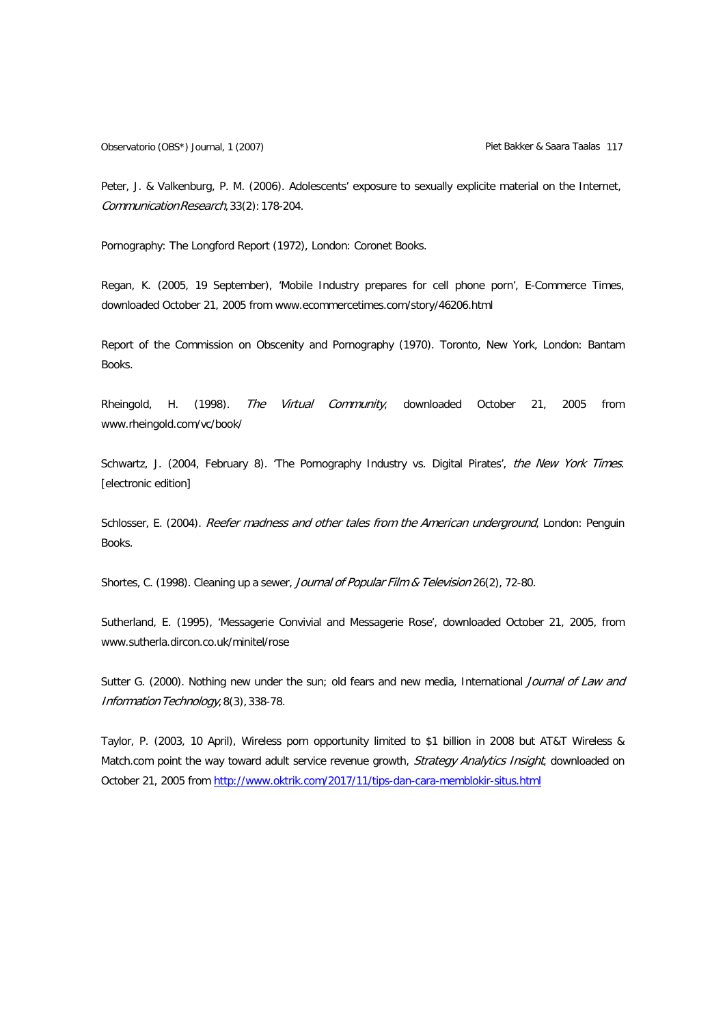Peter, J. & Valkenburg, P. M. (2006). Adolescents' exposure to sexually explicite material on the Internet, CommunicationResearch,33(2):178-204.

Pornography: The Longford Report (1972), London: Coronet Books.

Regan, K. (2005, 19 September), 'Mobile Industry prepares for cell phone porn', E-Commerce Times, downloaded October 21, 2005 from [www.ecommercetimes.com/story/46206.html](http://www.ecommercetimes.com/story/46206.html)

Report of the Commission on Obscenity and Pornography (1970). Toronto, New York, London: Bantam Books.

Rheingold, H. (1998). The Virtual Community, downloaded October 21, 2005 from [www.rheingold.com/vc/book/](http://www.rheingold.com/vc/book/)

Schwartz, J. (2004, February 8). 'The Pornography Industry vs. Digital Pirates', the New York Times. [electronic edition]

Schlosser, E. (2004). Reefer madness and other tales from the American underground, London: Penguin Books.

Shortes, C. (1998). Cleaning up a sewer, Journal of Popular Film & Television 26(2), 72-80.

Sutherland, E. (1995), 'Messagerie Convivial and Messagerie Rose', downloaded October 21, 2005, fro[m](http://www.sutherla.dircon.co.uk/minitel/rose) [www.sutherla.dircon.co.uk/minitel/rose](http://www.sutherla.dircon.co.uk/minitel/rose)

Sutter G. (2000). Nothing new under the sun; old fears and new media, International Journal of Law and Information Technology, 8(3), 338-78.

Taylor, P. (2003, 10 April), Wireless porn opportunity limited to \$1 billion in 2008 but AT&T Wireless & Match.com point the way toward adult service revenue growth, Strategy Analytics Insight, downloaded on October 21, 2005 from <http://www.oktrik.com/2017/11/tips-dan-cara-memblokir-situs.html>